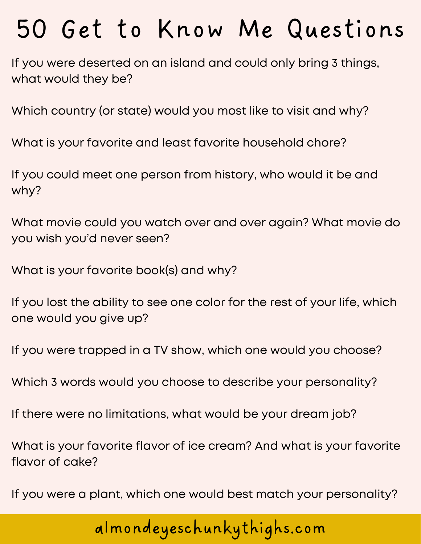If you were deserted on an island and could only bring 3 things, what would they be?

Which country (or state) would you most like to visit and why?

What is your favorite and least favorite household chore?

If you could meet one person from history, who would it be and why?

What movie could you watch over and over again? What movie do you wish you'd never seen?

What is your favorite book(s) and why?

If you lost the ability to see one color for the rest of your life, which one would you give up?

If you were trapped in a TV show, which one would you choose?

Which 3 words would you choose to describe your personality?

If there were no limitations, what would be your dream job?

What is your favorite flavor of ice cream? And what is your favorite flavor of cake?

If you were a plant, which one would best match your personality?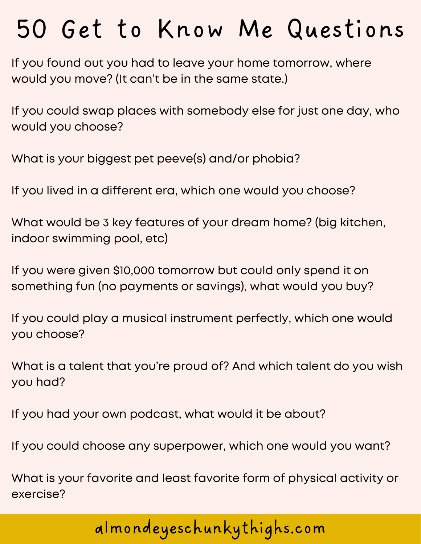If you found out you had to leave your home tomorrow, where would you move? (It can't be in the same state.)

If you could swap places with somebody else for just one day, who would you choose?

What is your biggest pet peeve(s) and/or phobia?

If you lived in a different era, which one would you choose?

What would be 3 key features of your dream home? (big kitchen, indoor swimming pool, etc)

If you were given \$10,000 tomorrow but could only spend it on something fun (no payments or savings), what would you buy?

If you could play a musical instrument perfectly, which one would you choose?

What is a talent that you're proud of? And which talent do you wish you had?

If you had your own podcast, what would it be about?

If you could choose any superpower, which one would you want?

What is your favorite and least favorite form of physical activity or exercise?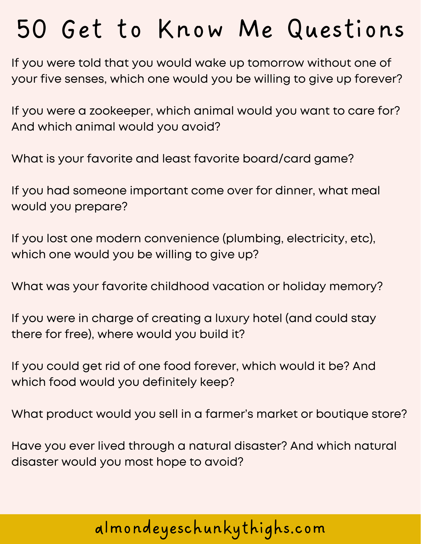If you were told that you would wake up tomorrow without one of your five senses, which one would you be willing to give up forever?

If you were a zookeeper, which animal would you want to care for? And which animal would you avoid?

What is your favorite and least favorite board/card game?

If you had someone important come over for dinner, what meal would you prepare?

If you lost one modern convenience (plumbing, electricity, etc), which one would you be willing to give up?

What was your favorite childhood vacation or holiday memory?

If you were in charge of creating a luxury hotel (and could stay there for free), where would you build it?

If you could get rid of one food forever, which would it be? And which food would you definitely keep?

What product would you sell in a farmer's market or boutique store?

Have you ever lived through a natural disaster? And which natural disaster would you most hope to avoid?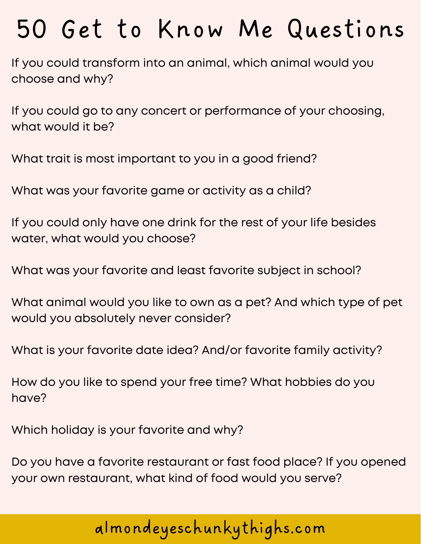If you could transform into an animal, which animal would you choose and why?

If you could go to any concert or performance of your choosing, what would it be?

What trait is most important to you in a good friend?

What was your favorite game or activity as a child?

If you could only have one drink for the rest of your life besides water, what would you choose?

What was your favorite and least favorite subject in school?

What animal would you like to own as a pet? And which type of pet would you absolutely never consider?

What is your favorite date idea? And/or favorite family activity?

How do you like to spend your free time? What hobbies do you have?

Which holiday is your favorite and why?

Do you have a favorite restaurant or fast food place? If you opened your own restaurant, what kind of food would you serve?